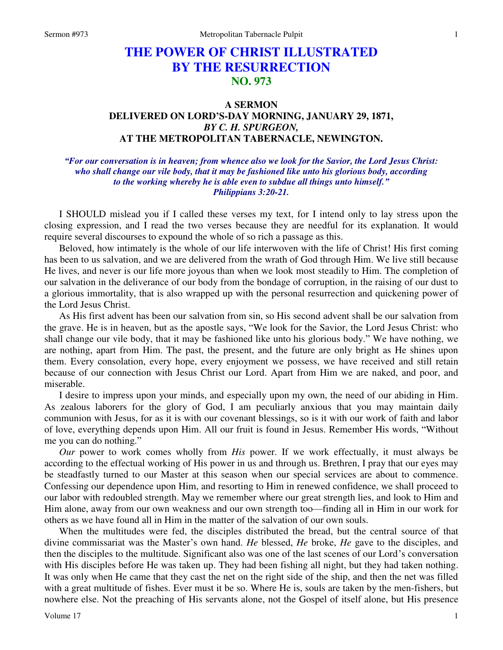# **THE POWER OF CHRIST ILLUSTRATED BY THE RESURRECTION NO. 973**

## **A SERMON DELIVERED ON LORD'S-DAY MORNING, JANUARY 29, 1871,**  *BY C. H. SPURGEON,*  **AT THE METROPOLITAN TABERNACLE, NEWINGTON.**

### *"For our conversation is in heaven; from whence also we look for the Savior, the Lord Jesus Christ: who shall change our vile body, that it may be fashioned like unto his glorious body, according to the working whereby he is able even to subdue all things unto himself." Philippians 3:20-21.*

I SHOULD mislead you if I called these verses my text, for I intend only to lay stress upon the closing expression, and I read the two verses because they are needful for its explanation. It would require several discourses to expound the whole of so rich a passage as this.

Beloved, how intimately is the whole of our life interwoven with the life of Christ! His first coming has been to us salvation, and we are delivered from the wrath of God through Him. We live still because He lives, and never is our life more joyous than when we look most steadily to Him. The completion of our salvation in the deliverance of our body from the bondage of corruption, in the raising of our dust to a glorious immortality, that is also wrapped up with the personal resurrection and quickening power of the Lord Jesus Christ.

As His first advent has been our salvation from sin, so His second advent shall be our salvation from the grave. He is in heaven, but as the apostle says, "We look for the Savior, the Lord Jesus Christ: who shall change our vile body, that it may be fashioned like unto his glorious body." We have nothing, we are nothing, apart from Him. The past, the present, and the future are only bright as He shines upon them. Every consolation, every hope, every enjoyment we possess, we have received and still retain because of our connection with Jesus Christ our Lord. Apart from Him we are naked, and poor, and miserable.

I desire to impress upon your minds, and especially upon my own, the need of our abiding in Him. As zealous laborers for the glory of God, I am peculiarly anxious that you may maintain daily communion with Jesus, for as it is with our covenant blessings, so is it with our work of faith and labor of love, everything depends upon Him. All our fruit is found in Jesus. Remember His words, "Without me you can do nothing."

*Our* power to work comes wholly from *His* power. If we work effectually, it must always be according to the effectual working of His power in us and through us. Brethren, I pray that our eyes may be steadfastly turned to our Master at this season when our special services are about to commence. Confessing our dependence upon Him, and resorting to Him in renewed confidence, we shall proceed to our labor with redoubled strength. May we remember where our great strength lies, and look to Him and Him alone, away from our own weakness and our own strength too—finding all in Him in our work for others as we have found all in Him in the matter of the salvation of our own souls.

When the multitudes were fed, the disciples distributed the bread, but the central source of that divine commissariat was the Master's own hand. *He* blessed, *He* broke, *He* gave to the disciples, and then the disciples to the multitude. Significant also was one of the last scenes of our Lord's conversation with His disciples before He was taken up. They had been fishing all night, but they had taken nothing. It was only when He came that they cast the net on the right side of the ship, and then the net was filled with a great multitude of fishes. Ever must it be so. Where He is, souls are taken by the men-fishers, but nowhere else. Not the preaching of His servants alone, not the Gospel of itself alone, but His presence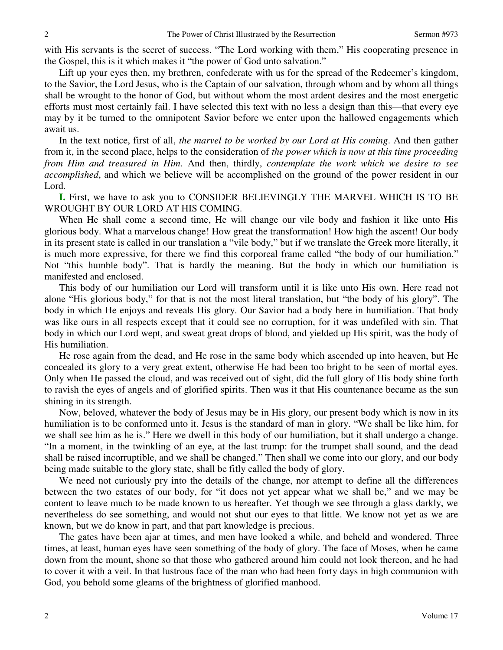with His servants is the secret of success. "The Lord working with them," His cooperating presence in the Gospel, this is it which makes it "the power of God unto salvation."

Lift up your eyes then, my brethren, confederate with us for the spread of the Redeemer's kingdom, to the Savior, the Lord Jesus, who is the Captain of our salvation, through whom and by whom all things shall be wrought to the honor of God, but without whom the most ardent desires and the most energetic efforts must most certainly fail. I have selected this text with no less a design than this—that every eye may by it be turned to the omnipotent Savior before we enter upon the hallowed engagements which await us.

In the text notice, first of all, *the marvel to be worked by our Lord at His coming*. And then gather from it, in the second place, helps to the consideration of *the power which is now at this time proceeding from Him and treasured in Him*. And then, thirdly, *contemplate the work which we desire to see accomplished*, and which we believe will be accomplished on the ground of the power resident in our Lord.

**I.** First, we have to ask you to CONSIDER BELIEVINGLY THE MARVEL WHICH IS TO BE WROUGHT BY OUR LORD AT HIS COMING.

When He shall come a second time, He will change our vile body and fashion it like unto His glorious body. What a marvelous change! How great the transformation! How high the ascent! Our body in its present state is called in our translation a "vile body," but if we translate the Greek more literally, it is much more expressive, for there we find this corporeal frame called "the body of our humiliation." Not "this humble body". That is hardly the meaning. But the body in which our humiliation is manifested and enclosed.

This body of our humiliation our Lord will transform until it is like unto His own. Here read not alone "His glorious body," for that is not the most literal translation, but "the body of his glory". The body in which He enjoys and reveals His glory. Our Savior had a body here in humiliation. That body was like ours in all respects except that it could see no corruption, for it was undefiled with sin. That body in which our Lord wept, and sweat great drops of blood, and yielded up His spirit, was the body of His humiliation.

He rose again from the dead, and He rose in the same body which ascended up into heaven, but He concealed its glory to a very great extent, otherwise He had been too bright to be seen of mortal eyes. Only when He passed the cloud, and was received out of sight, did the full glory of His body shine forth to ravish the eyes of angels and of glorified spirits. Then was it that His countenance became as the sun shining in its strength.

Now, beloved, whatever the body of Jesus may be in His glory, our present body which is now in its humiliation is to be conformed unto it. Jesus is the standard of man in glory. "We shall be like him, for we shall see him as he is." Here we dwell in this body of our humiliation, but it shall undergo a change. "In a moment, in the twinkling of an eye, at the last trump: for the trumpet shall sound, and the dead shall be raised incorruptible, and we shall be changed." Then shall we come into our glory, and our body being made suitable to the glory state, shall be fitly called the body of glory.

We need not curiously pry into the details of the change, nor attempt to define all the differences between the two estates of our body, for "it does not yet appear what we shall be," and we may be content to leave much to be made known to us hereafter. Yet though we see through a glass darkly, we nevertheless do see something, and would not shut our eyes to that little. We know not yet as we are known, but we do know in part, and that part knowledge is precious.

The gates have been ajar at times, and men have looked a while, and beheld and wondered. Three times, at least, human eyes have seen something of the body of glory. The face of Moses, when he came down from the mount, shone so that those who gathered around him could not look thereon, and he had to cover it with a veil. In that lustrous face of the man who had been forty days in high communion with God, you behold some gleams of the brightness of glorified manhood.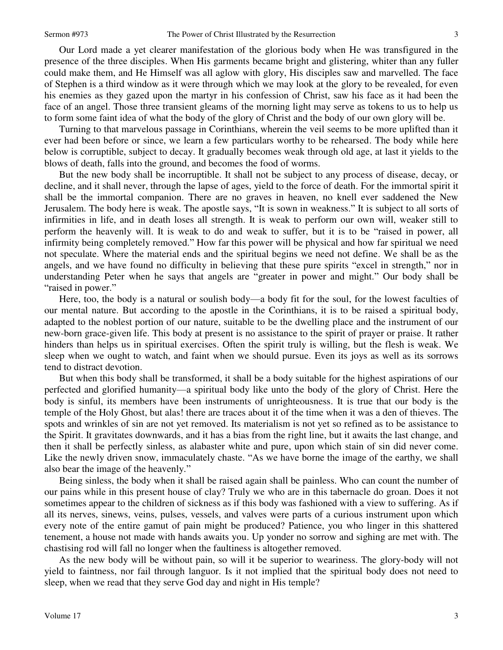Our Lord made a yet clearer manifestation of the glorious body when He was transfigured in the presence of the three disciples. When His garments became bright and glistering, whiter than any fuller could make them, and He Himself was all aglow with glory, His disciples saw and marvelled. The face of Stephen is a third window as it were through which we may look at the glory to be revealed, for even his enemies as they gazed upon the martyr in his confession of Christ, saw his face as it had been the face of an angel. Those three transient gleams of the morning light may serve as tokens to us to help us to form some faint idea of what the body of the glory of Christ and the body of our own glory will be.

Turning to that marvelous passage in Corinthians, wherein the veil seems to be more uplifted than it ever had been before or since, we learn a few particulars worthy to be rehearsed. The body while here below is corruptible, subject to decay. It gradually becomes weak through old age, at last it yields to the blows of death, falls into the ground, and becomes the food of worms.

But the new body shall be incorruptible. It shall not be subject to any process of disease, decay, or decline, and it shall never, through the lapse of ages, yield to the force of death. For the immortal spirit it shall be the immortal companion. There are no graves in heaven, no knell ever saddened the New Jerusalem. The body here is weak. The apostle says, "It is sown in weakness." It is subject to all sorts of infirmities in life, and in death loses all strength. It is weak to perform our own will, weaker still to perform the heavenly will. It is weak to do and weak to suffer, but it is to be "raised in power, all infirmity being completely removed." How far this power will be physical and how far spiritual we need not speculate. Where the material ends and the spiritual begins we need not define. We shall be as the angels, and we have found no difficulty in believing that these pure spirits "excel in strength," nor in understanding Peter when he says that angels are "greater in power and might." Our body shall be "raised in power."

Here, too, the body is a natural or soulish body—a body fit for the soul, for the lowest faculties of our mental nature. But according to the apostle in the Corinthians, it is to be raised a spiritual body, adapted to the noblest portion of our nature, suitable to be the dwelling place and the instrument of our new-born grace-given life. This body at present is no assistance to the spirit of prayer or praise. It rather hinders than helps us in spiritual exercises. Often the spirit truly is willing, but the flesh is weak. We sleep when we ought to watch, and faint when we should pursue. Even its joys as well as its sorrows tend to distract devotion.

But when this body shall be transformed, it shall be a body suitable for the highest aspirations of our perfected and glorified humanity—a spiritual body like unto the body of the glory of Christ. Here the body is sinful, its members have been instruments of unrighteousness. It is true that our body is the temple of the Holy Ghost, but alas! there are traces about it of the time when it was a den of thieves. The spots and wrinkles of sin are not yet removed. Its materialism is not yet so refined as to be assistance to the Spirit. It gravitates downwards, and it has a bias from the right line, but it awaits the last change, and then it shall be perfectly sinless, as alabaster white and pure, upon which stain of sin did never come. Like the newly driven snow, immaculately chaste. "As we have borne the image of the earthy, we shall also bear the image of the heavenly."

Being sinless, the body when it shall be raised again shall be painless. Who can count the number of our pains while in this present house of clay? Truly we who are in this tabernacle do groan. Does it not sometimes appear to the children of sickness as if this body was fashioned with a view to suffering. As if all its nerves, sinews, veins, pulses, vessels, and valves were parts of a curious instrument upon which every note of the entire gamut of pain might be produced? Patience, you who linger in this shattered tenement, a house not made with hands awaits you. Up yonder no sorrow and sighing are met with. The chastising rod will fall no longer when the faultiness is altogether removed.

As the new body will be without pain, so will it be superior to weariness. The glory-body will not yield to faintness, nor fail through languor. Is it not implied that the spiritual body does not need to sleep, when we read that they serve God day and night in His temple?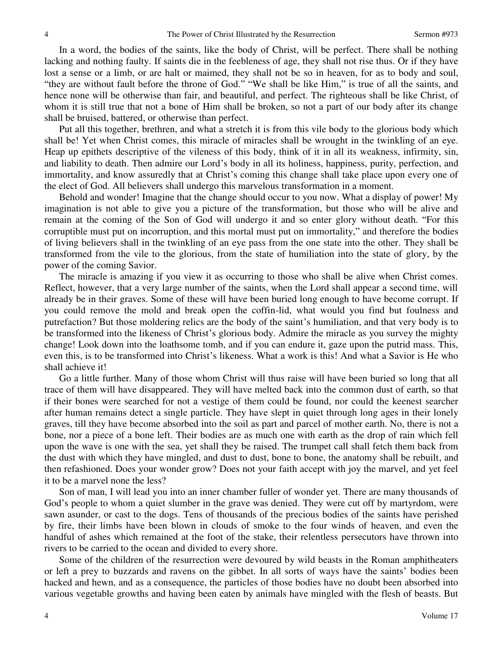In a word, the bodies of the saints, like the body of Christ, will be perfect. There shall be nothing lacking and nothing faulty. If saints die in the feebleness of age, they shall not rise thus. Or if they have lost a sense or a limb, or are halt or maimed, they shall not be so in heaven, for as to body and soul, "they are without fault before the throne of God." "We shall be like Him," is true of all the saints, and hence none will be otherwise than fair, and beautiful, and perfect. The righteous shall be like Christ, of whom it is still true that not a bone of Him shall be broken, so not a part of our body after its change shall be bruised, battered, or otherwise than perfect.

Put all this together, brethren, and what a stretch it is from this vile body to the glorious body which shall be! Yet when Christ comes, this miracle of miracles shall be wrought in the twinkling of an eye. Heap up epithets descriptive of the vileness of this body, think of it in all its weakness, infirmity, sin, and liability to death. Then admire our Lord's body in all its holiness, happiness, purity, perfection, and immortality, and know assuredly that at Christ's coming this change shall take place upon every one of the elect of God. All believers shall undergo this marvelous transformation in a moment.

Behold and wonder! Imagine that the change should occur to you now. What a display of power! My imagination is not able to give you a picture of the transformation, but those who will be alive and remain at the coming of the Son of God will undergo it and so enter glory without death. "For this corruptible must put on incorruption, and this mortal must put on immortality," and therefore the bodies of living believers shall in the twinkling of an eye pass from the one state into the other. They shall be transformed from the vile to the glorious, from the state of humiliation into the state of glory, by the power of the coming Savior.

The miracle is amazing if you view it as occurring to those who shall be alive when Christ comes. Reflect, however, that a very large number of the saints, when the Lord shall appear a second time, will already be in their graves. Some of these will have been buried long enough to have become corrupt. If you could remove the mold and break open the coffin-lid, what would you find but foulness and putrefaction? But those moldering relics are the body of the saint's humiliation, and that very body is to be transformed into the likeness of Christ's glorious body. Admire the miracle as you survey the mighty change! Look down into the loathsome tomb, and if you can endure it, gaze upon the putrid mass. This, even this, is to be transformed into Christ's likeness. What a work is this! And what a Savior is He who shall achieve it!

Go a little further. Many of those whom Christ will thus raise will have been buried so long that all trace of them will have disappeared. They will have melted back into the common dust of earth, so that if their bones were searched for not a vestige of them could be found, nor could the keenest searcher after human remains detect a single particle. They have slept in quiet through long ages in their lonely graves, till they have become absorbed into the soil as part and parcel of mother earth. No, there is not a bone, nor a piece of a bone left. Their bodies are as much one with earth as the drop of rain which fell upon the wave is one with the sea, yet shall they be raised. The trumpet call shall fetch them back from the dust with which they have mingled, and dust to dust, bone to bone, the anatomy shall be rebuilt, and then refashioned. Does your wonder grow? Does not your faith accept with joy the marvel, and yet feel it to be a marvel none the less?

Son of man, I will lead you into an inner chamber fuller of wonder yet. There are many thousands of God's people to whom a quiet slumber in the grave was denied. They were cut off by martyrdom, were sawn asunder, or cast to the dogs. Tens of thousands of the precious bodies of the saints have perished by fire, their limbs have been blown in clouds of smoke to the four winds of heaven, and even the handful of ashes which remained at the foot of the stake, their relentless persecutors have thrown into rivers to be carried to the ocean and divided to every shore.

Some of the children of the resurrection were devoured by wild beasts in the Roman amphitheaters or left a prey to buzzards and ravens on the gibbet. In all sorts of ways have the saints' bodies been hacked and hewn, and as a consequence, the particles of those bodies have no doubt been absorbed into various vegetable growths and having been eaten by animals have mingled with the flesh of beasts. But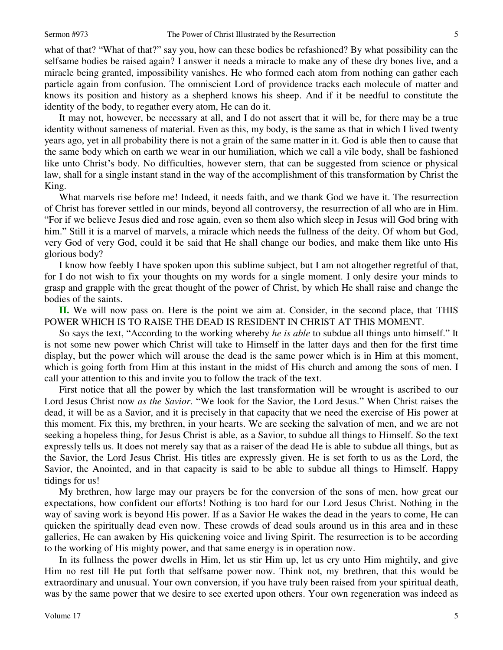what of that? "What of that?" say you, how can these bodies be refashioned? By what possibility can the selfsame bodies be raised again? I answer it needs a miracle to make any of these dry bones live, and a miracle being granted, impossibility vanishes. He who formed each atom from nothing can gather each particle again from confusion. The omniscient Lord of providence tracks each molecule of matter and knows its position and history as a shepherd knows his sheep. And if it be needful to constitute the identity of the body, to regather every atom, He can do it.

It may not, however, be necessary at all, and I do not assert that it will be, for there may be a true identity without sameness of material. Even as this, my body, is the same as that in which I lived twenty years ago, yet in all probability there is not a grain of the same matter in it. God is able then to cause that the same body which on earth we wear in our humiliation, which we call a vile body, shall be fashioned like unto Christ's body. No difficulties, however stern, that can be suggested from science or physical law, shall for a single instant stand in the way of the accomplishment of this transformation by Christ the King.

What marvels rise before me! Indeed, it needs faith, and we thank God we have it. The resurrection of Christ has forever settled in our minds, beyond all controversy, the resurrection of all who are in Him. "For if we believe Jesus died and rose again, even so them also which sleep in Jesus will God bring with him." Still it is a marvel of marvels, a miracle which needs the fullness of the deity. Of whom but God, very God of very God, could it be said that He shall change our bodies, and make them like unto His glorious body?

I know how feebly I have spoken upon this sublime subject, but I am not altogether regretful of that, for I do not wish to fix your thoughts on my words for a single moment. I only desire your minds to grasp and grapple with the great thought of the power of Christ, by which He shall raise and change the bodies of the saints.

**II.** We will now pass on. Here is the point we aim at. Consider, in the second place, that THIS POWER WHICH IS TO RAISE THE DEAD IS RESIDENT IN CHRIST AT THIS MOMENT.

So says the text, "According to the working whereby *he is able* to subdue all things unto himself." It is not some new power which Christ will take to Himself in the latter days and then for the first time display, but the power which will arouse the dead is the same power which is in Him at this moment, which is going forth from Him at this instant in the midst of His church and among the sons of men. I call your attention to this and invite you to follow the track of the text.

First notice that all the power by which the last transformation will be wrought is ascribed to our Lord Jesus Christ now *as the Savior*. "We look for the Savior, the Lord Jesus." When Christ raises the dead, it will be as a Savior, and it is precisely in that capacity that we need the exercise of His power at this moment. Fix this, my brethren, in your hearts. We are seeking the salvation of men, and we are not seeking a hopeless thing, for Jesus Christ is able, as a Savior, to subdue all things to Himself. So the text expressly tells us. It does not merely say that as a raiser of the dead He is able to subdue all things, but as the Savior, the Lord Jesus Christ. His titles are expressly given. He is set forth to us as the Lord, the Savior, the Anointed, and in that capacity is said to be able to subdue all things to Himself. Happy tidings for us!

My brethren, how large may our prayers be for the conversion of the sons of men, how great our expectations, how confident our efforts! Nothing is too hard for our Lord Jesus Christ. Nothing in the way of saving work is beyond His power. If as a Savior He wakes the dead in the years to come, He can quicken the spiritually dead even now. These crowds of dead souls around us in this area and in these galleries, He can awaken by His quickening voice and living Spirit. The resurrection is to be according to the working of His mighty power, and that same energy is in operation now.

In its fullness the power dwells in Him, let us stir Him up, let us cry unto Him mightily, and give Him no rest till He put forth that selfsame power now. Think not, my brethren, that this would be extraordinary and unusual. Your own conversion, if you have truly been raised from your spiritual death, was by the same power that we desire to see exerted upon others. Your own regeneration was indeed as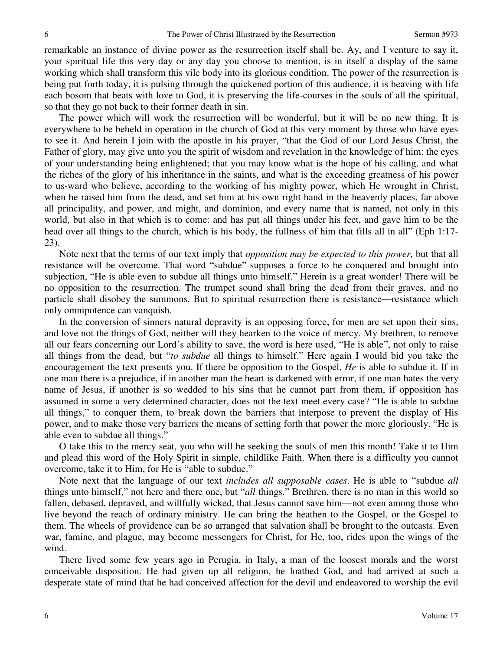remarkable an instance of divine power as the resurrection itself shall be. Ay, and I venture to say it, your spiritual life this very day or any day you choose to mention, is in itself a display of the same working which shall transform this vile body into its glorious condition. The power of the resurrection is being put forth today, it is pulsing through the quickened portion of this audience, it is heaving with life each bosom that beats with love to God, it is preserving the life-courses in the souls of all the spiritual, so that they go not back to their former death in sin.

The power which will work the resurrection will be wonderful, but it will be no new thing. It is everywhere to be beheld in operation in the church of God at this very moment by those who have eyes to see it. And herein I join with the apostle in his prayer, "that the God of our Lord Jesus Christ, the Father of glory, may give unto you the spirit of wisdom and revelation in the knowledge of him: the eyes of your understanding being enlightened; that you may know what is the hope of his calling, and what the riches of the glory of his inheritance in the saints, and what is the exceeding greatness of his power to us-ward who believe, according to the working of his mighty power, which He wrought in Christ, when he raised him from the dead, and set him at his own right hand in the heavenly places, far above all principality, and power, and might, and dominion, and every name that is named, not only in this world, but also in that which is to come: and has put all things under his feet, and gave him to be the head over all things to the church, which is his body, the fullness of him that fills all in all" (Eph 1:17- 23).

Note next that the terms of our text imply that *opposition may be expected to this power,* but that all resistance will be overcome. That word "subdue" supposes a force to be conquered and brought into subjection, "He is able even to subdue all things unto himself." Herein is a great wonder! There will be no opposition to the resurrection. The trumpet sound shall bring the dead from their graves, and no particle shall disobey the summons. But to spiritual resurrection there is resistance—resistance which only omnipotence can vanquish.

In the conversion of sinners natural depravity is an opposing force, for men are set upon their sins, and love not the things of God, neither will they hearken to the voice of mercy. My brethren, to remove all our fears concerning our Lord's ability to save, the word is here used, "He is able", not only to raise all things from the dead, but "*to subdue* all things to himself." Here again I would bid you take the encouragement the text presents you. If there be opposition to the Gospel, *He* is able to subdue it. If in one man there is a prejudice, if in another man the heart is darkened with error, if one man hates the very name of Jesus, if another is so wedded to his sins that he cannot part from them, if opposition has assumed in some a very determined character, does not the text meet every case? "He is able to subdue all things," to conquer them, to break down the barriers that interpose to prevent the display of His power, and to make those very barriers the means of setting forth that power the more gloriously. "He is able even to subdue all things."

O take this to the mercy seat, you who will be seeking the souls of men this month! Take it to Him and plead this word of the Holy Spirit in simple, childlike Faith. When there is a difficulty you cannot overcome, take it to Him, for He is "able to subdue."

Note next that the language of our text *includes all supposable cases*. He is able to "subdue *all* things unto himself," not here and there one, but "*all* things." Brethren, there is no man in this world so fallen, debased, depraved, and willfully wicked, that Jesus cannot save him—not even among those who live beyond the reach of ordinary ministry. He can bring the heathen to the Gospel, or the Gospel to them. The wheels of providence can be so arranged that salvation shall be brought to the outcasts. Even war, famine, and plague, may become messengers for Christ, for He, too, rides upon the wings of the wind.

There lived some few years ago in Perugia, in Italy, a man of the loosest morals and the worst conceivable disposition. He had given up all religion, he loathed God, and had arrived at such a desperate state of mind that he had conceived affection for the devil and endeavored to worship the evil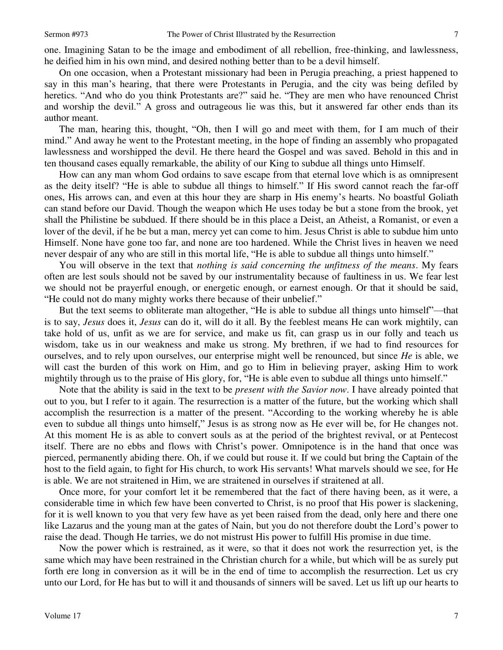one. Imagining Satan to be the image and embodiment of all rebellion, free-thinking, and lawlessness, he deified him in his own mind, and desired nothing better than to be a devil himself.

On one occasion, when a Protestant missionary had been in Perugia preaching, a priest happened to say in this man's hearing, that there were Protestants in Perugia, and the city was being defiled by heretics. "And who do you think Protestants are?" said he. "They are men who have renounced Christ and worship the devil." A gross and outrageous lie was this, but it answered far other ends than its author meant.

The man, hearing this, thought, "Oh, then I will go and meet with them, for I am much of their mind." And away he went to the Protestant meeting, in the hope of finding an assembly who propagated lawlessness and worshipped the devil. He there heard the Gospel and was saved. Behold in this and in ten thousand cases equally remarkable, the ability of our King to subdue all things unto Himself.

How can any man whom God ordains to save escape from that eternal love which is as omnipresent as the deity itself? "He is able to subdue all things to himself." If His sword cannot reach the far-off ones, His arrows can, and even at this hour they are sharp in His enemy's hearts. No boastful Goliath can stand before our David. Though the weapon which He uses today be but a stone from the brook, yet shall the Philistine be subdued. If there should be in this place a Deist, an Atheist, a Romanist, or even a lover of the devil, if he be but a man, mercy yet can come to him. Jesus Christ is able to subdue him unto Himself. None have gone too far, and none are too hardened. While the Christ lives in heaven we need never despair of any who are still in this mortal life, "He is able to subdue all things unto himself."

You will observe in the text that *nothing is said concerning the unfitness of the means*. My fears often are lest souls should not be saved by our instrumentality because of faultiness in us. We fear lest we should not be prayerful enough, or energetic enough, or earnest enough. Or that it should be said, "He could not do many mighty works there because of their unbelief."

But the text seems to obliterate man altogether, "He is able to subdue all things unto himself"—that is to say, *Jesus* does it, *Jesus* can do it, will do it all. By the feeblest means He can work mightily, can take hold of us, unfit as we are for service, and make us fit, can grasp us in our folly and teach us wisdom, take us in our weakness and make us strong. My brethren, if we had to find resources for ourselves, and to rely upon ourselves, our enterprise might well be renounced, but since *He* is able, we will cast the burden of this work on Him, and go to Him in believing prayer, asking Him to work mightily through us to the praise of His glory, for, "He is able even to subdue all things unto himself."

Note that the ability is said in the text to be *present with the Savior now*. I have already pointed that out to you, but I refer to it again. The resurrection is a matter of the future, but the working which shall accomplish the resurrection is a matter of the present. "According to the working whereby he is able even to subdue all things unto himself," Jesus is as strong now as He ever will be, for He changes not. At this moment He is as able to convert souls as at the period of the brightest revival, or at Pentecost itself. There are no ebbs and flows with Christ's power. Omnipotence is in the hand that once was pierced, permanently abiding there. Oh, if we could but rouse it. If we could but bring the Captain of the host to the field again, to fight for His church, to work His servants! What marvels should we see, for He is able. We are not straitened in Him, we are straitened in ourselves if straitened at all.

Once more, for your comfort let it be remembered that the fact of there having been, as it were, a considerable time in which few have been converted to Christ, is no proof that His power is slackening, for it is well known to you that very few have as yet been raised from the dead, only here and there one like Lazarus and the young man at the gates of Nain, but you do not therefore doubt the Lord's power to raise the dead. Though He tarries, we do not mistrust His power to fulfill His promise in due time.

Now the power which is restrained, as it were, so that it does not work the resurrection yet, is the same which may have been restrained in the Christian church for a while, but which will be as surely put forth ere long in conversion as it will be in the end of time to accomplish the resurrection. Let us cry unto our Lord, for He has but to will it and thousands of sinners will be saved. Let us lift up our hearts to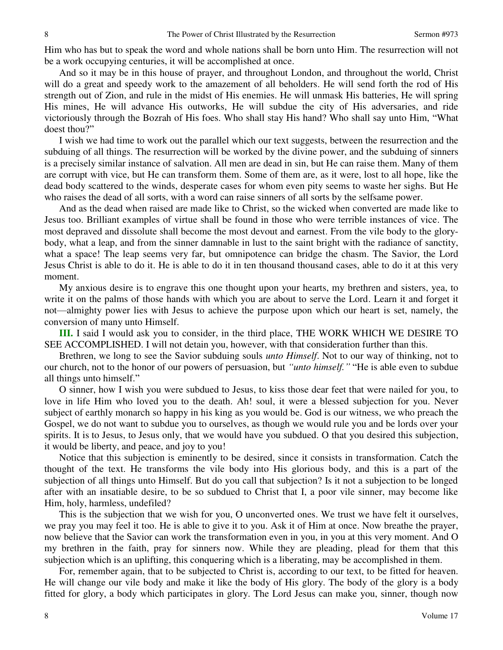Him who has but to speak the word and whole nations shall be born unto Him. The resurrection will not be a work occupying centuries, it will be accomplished at once.

And so it may be in this house of prayer, and throughout London, and throughout the world, Christ will do a great and speedy work to the amazement of all beholders. He will send forth the rod of His strength out of Zion, and rule in the midst of His enemies. He will unmask His batteries, He will spring His mines, He will advance His outworks, He will subdue the city of His adversaries, and ride victoriously through the Bozrah of His foes. Who shall stay His hand? Who shall say unto Him, "What doest thou?"

I wish we had time to work out the parallel which our text suggests, between the resurrection and the subduing of all things. The resurrection will be worked by the divine power, and the subduing of sinners is a precisely similar instance of salvation. All men are dead in sin, but He can raise them. Many of them are corrupt with vice, but He can transform them. Some of them are, as it were, lost to all hope, like the dead body scattered to the winds, desperate cases for whom even pity seems to waste her sighs. But He who raises the dead of all sorts, with a word can raise sinners of all sorts by the selfsame power.

And as the dead when raised are made like to Christ, so the wicked when converted are made like to Jesus too. Brilliant examples of virtue shall be found in those who were terrible instances of vice. The most depraved and dissolute shall become the most devout and earnest. From the vile body to the glorybody, what a leap, and from the sinner damnable in lust to the saint bright with the radiance of sanctity, what a space! The leap seems very far, but omnipotence can bridge the chasm. The Savior, the Lord Jesus Christ is able to do it. He is able to do it in ten thousand thousand cases, able to do it at this very moment.

My anxious desire is to engrave this one thought upon your hearts, my brethren and sisters, yea, to write it on the palms of those hands with which you are about to serve the Lord. Learn it and forget it not—almighty power lies with Jesus to achieve the purpose upon which our heart is set, namely, the conversion of many unto Himself.

**III.** I said I would ask you to consider, in the third place, THE WORK WHICH WE DESIRE TO SEE ACCOMPLISHED. I will not detain you, however, with that consideration further than this.

Brethren, we long to see the Savior subduing souls *unto Himself*. Not to our way of thinking, not to our church, not to the honor of our powers of persuasion, but *"unto himself."* "He is able even to subdue all things unto himself."

O sinner, how I wish you were subdued to Jesus, to kiss those dear feet that were nailed for you, to love in life Him who loved you to the death. Ah! soul, it were a blessed subjection for you. Never subject of earthly monarch so happy in his king as you would be. God is our witness, we who preach the Gospel, we do not want to subdue you to ourselves, as though we would rule you and be lords over your spirits. It is to Jesus, to Jesus only, that we would have you subdued. O that you desired this subjection, it would be liberty, and peace, and joy to you!

Notice that this subjection is eminently to be desired, since it consists in transformation. Catch the thought of the text. He transforms the vile body into His glorious body, and this is a part of the subjection of all things unto Himself. But do you call that subjection? Is it not a subjection to be longed after with an insatiable desire, to be so subdued to Christ that I, a poor vile sinner, may become like Him, holy, harmless, undefiled?

This is the subjection that we wish for you, O unconverted ones. We trust we have felt it ourselves, we pray you may feel it too. He is able to give it to you. Ask it of Him at once. Now breathe the prayer, now believe that the Savior can work the transformation even in you, in you at this very moment. And O my brethren in the faith, pray for sinners now. While they are pleading, plead for them that this subjection which is an uplifting, this conquering which is a liberating, may be accomplished in them.

For, remember again, that to be subjected to Christ is, according to our text, to be fitted for heaven. He will change our vile body and make it like the body of His glory. The body of the glory is a body fitted for glory, a body which participates in glory. The Lord Jesus can make you, sinner, though now